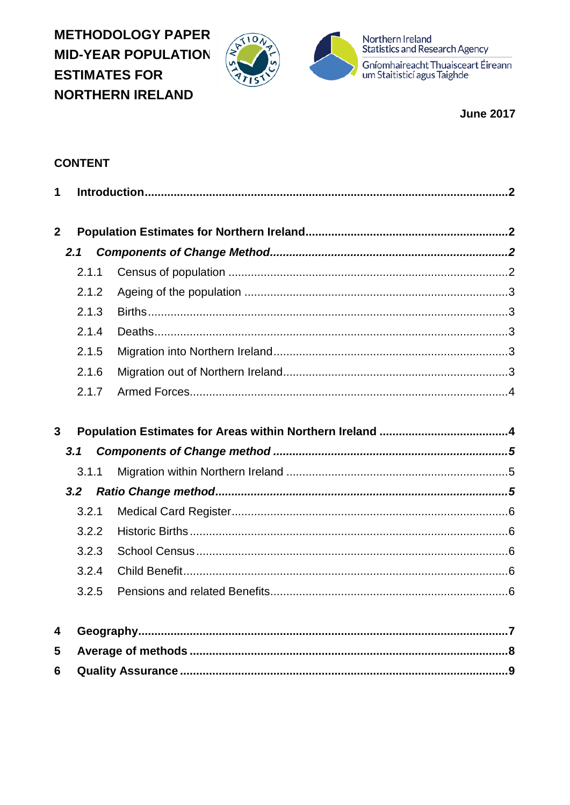**METHODOLOGY PAPER MID-YEAR POPULATION ESTIMATES FOR NORTHERN IRELAND** 





Northern Ireland<br>Statistics and Research Agency Gníomhaireacht Thuaisceart Éireann<br>um Staitisticí agus Taighde

**June 2017** 

# **CONTENT**

| $\mathbf 1$    |       |  |  |
|----------------|-------|--|--|
| 2 <sup>1</sup> |       |  |  |
|                | 2.1   |  |  |
|                | 2.1.1 |  |  |
|                | 2.1.2 |  |  |
|                | 2.1.3 |  |  |
|                | 2.1.4 |  |  |
|                | 2.1.5 |  |  |
|                | 2.1.6 |  |  |
|                | 2.1.7 |  |  |
|                |       |  |  |
| $\overline{3}$ |       |  |  |
|                | 3.1   |  |  |
|                | 3.1.1 |  |  |
| 3.2            |       |  |  |
|                | 3.2.1 |  |  |
|                | 3.2.2 |  |  |
|                | 3.2.3 |  |  |
|                | 3.2.4 |  |  |
|                | 3.2.5 |  |  |
|                |       |  |  |
| 4              |       |  |  |
| 5              |       |  |  |
| 6              |       |  |  |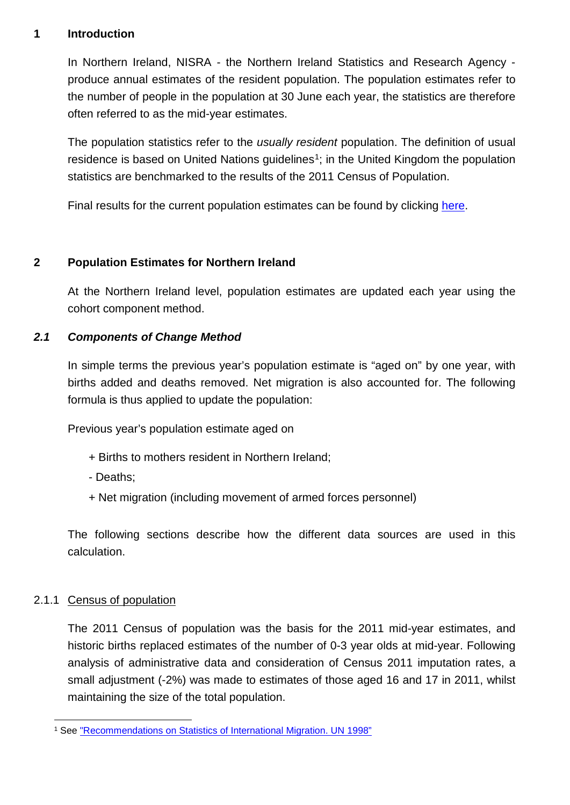#### <span id="page-1-0"></span>**1 Introduction**

In Northern Ireland, NISRA - the Northern Ireland Statistics and Research Agency produce annual estimates of the resident population. The population estimates refer to the number of people in the population at 30 June each year, the statistics are therefore often referred to as the mid-year estimates.

The population statistics refer to the *usually resident* population. The definition of usual residence is based on United Nations guidelines<sup>1</sup>; in the United Kingdom the population statistics are benchmarked to the results of the 2011 Census of Population.

Final results for the current population estimates can be found by clicking [here.](http://nisra-drupal.nigov.net/statistics/population/mid-year-population-estimates)

## <span id="page-1-1"></span>**2 Population Estimates for Northern Ireland**

At the Northern Ireland level, population estimates are updated each year using the cohort component method.

# <span id="page-1-2"></span>*2.1 Components of Change Method*

In simple terms the previous year's population estimate is "aged on" by one year, with births added and deaths removed. Net migration is also accounted for. The following formula is thus applied to update the population:

Previous year's population estimate aged on

- + Births to mothers resident in Northern Ireland;
- Deaths;
- + Net migration (including movement of armed forces personnel)

The following sections describe how the different data sources are used in this calculation.

## <span id="page-1-3"></span>2.1.1 Census of population

The 2011 Census of population was the basis for the 2011 mid-year estimates, and historic births replaced estimates of the number of 0-3 year olds at mid-year. Following analysis of administrative data and consideration of Census 2011 imputation rates, a small adjustment (-2%) was made to estimates of those aged 16 and 17 in 2011, whilst maintaining the size of the total population.

<span id="page-1-4"></span> <sup>1</sup> See ["Recommendations on Statistics of International Migration. UN 1998"](http://unstats.un.org/unsd/demographic/sconcerns/migration/migrmethods.htm#B)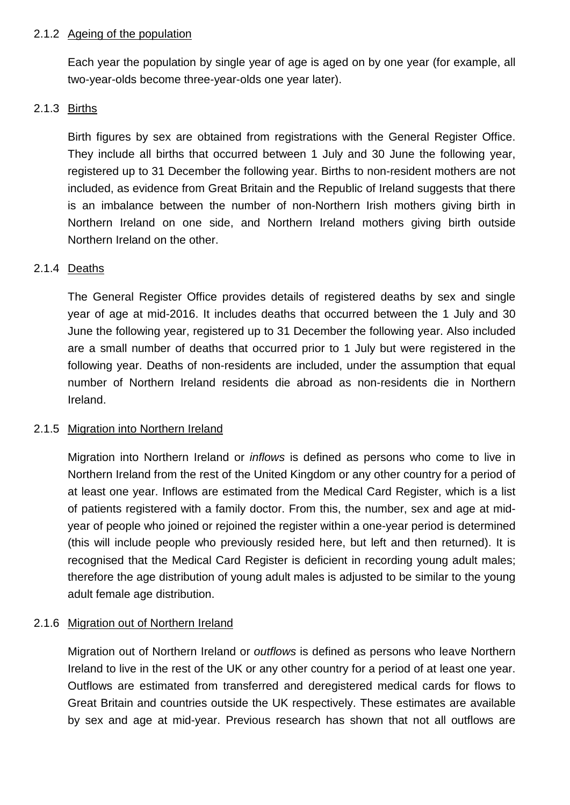#### <span id="page-2-0"></span>2.1.2 Ageing of the population

Each year the population by single year of age is aged on by one year (for example, all two-year-olds become three-year-olds one year later).

# <span id="page-2-1"></span>2.1.3 Births

Birth figures by sex are obtained from registrations with the General Register Office. They include all births that occurred between 1 July and 30 June the following year, registered up to 31 December the following year. Births to non-resident mothers are not included, as evidence from Great Britain and the Republic of Ireland suggests that there is an imbalance between the number of non-Northern Irish mothers giving birth in Northern Ireland on one side, and Northern Ireland mothers giving birth outside Northern Ireland on the other.

# <span id="page-2-2"></span>2.1.4 Deaths

The General Register Office provides details of registered deaths by sex and single year of age at mid-2016. It includes deaths that occurred between the 1 July and 30 June the following year, registered up to 31 December the following year. Also included are a small number of deaths that occurred prior to 1 July but were registered in the following year. Deaths of non-residents are included, under the assumption that equal number of Northern Ireland residents die abroad as non-residents die in Northern Ireland.

## <span id="page-2-3"></span>2.1.5 Migration into Northern Ireland

Migration into Northern Ireland or *inflows* is defined as persons who come to live in Northern Ireland from the rest of the United Kingdom or any other country for a period of at least one year. Inflows are estimated from the Medical Card Register, which is a list of patients registered with a family doctor. From this, the number, sex and age at midyear of people who joined or rejoined the register within a one-year period is determined (this will include people who previously resided here, but left and then returned). It is recognised that the Medical Card Register is deficient in recording young adult males; therefore the age distribution of young adult males is adjusted to be similar to the young adult female age distribution.

## <span id="page-2-4"></span>2.1.6 Migration out of Northern Ireland

Migration out of Northern Ireland or *outflows* is defined as persons who leave Northern Ireland to live in the rest of the UK or any other country for a period of at least one year. Outflows are estimated from transferred and deregistered medical cards for flows to Great Britain and countries outside the UK respectively. These estimates are available by sex and age at mid-year. Previous research has shown that not all outflows are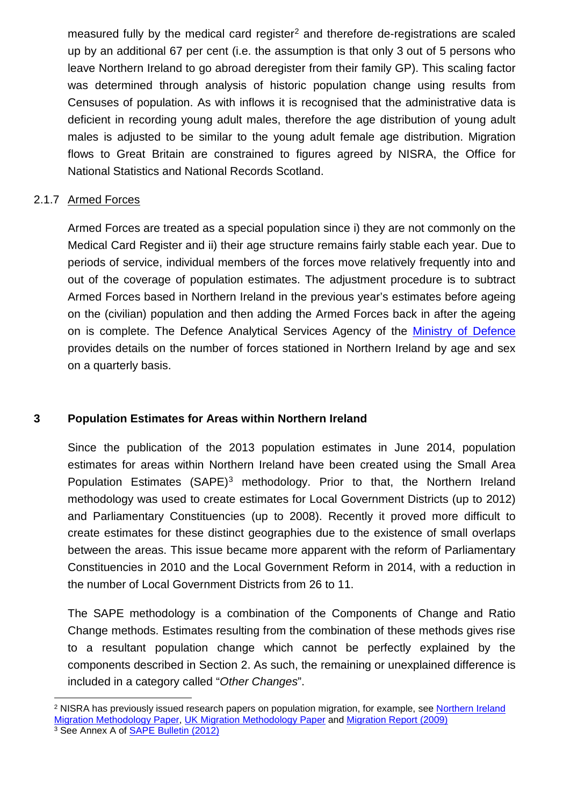measured fully by the medical card register<sup>[2](#page-3-2)</sup> and therefore de-registrations are scaled up by an additional 67 per cent (i.e. the assumption is that only 3 out of 5 persons who leave Northern Ireland to go abroad deregister from their family GP). This scaling factor was determined through analysis of historic population change using results from Censuses of population. As with inflows it is recognised that the administrative data is deficient in recording young adult males, therefore the age distribution of young adult males is adjusted to be similar to the young adult female age distribution. Migration flows to Great Britain are constrained to figures agreed by NISRA, the Office for National Statistics and National Records Scotland.

#### <span id="page-3-0"></span>2.1.7 Armed Forces

Armed Forces are treated as a special population since i) they are not commonly on the Medical Card Register and ii) their age structure remains fairly stable each year. Due to periods of service, individual members of the forces move relatively frequently into and out of the coverage of population estimates. The adjustment procedure is to subtract Armed Forces based in Northern Ireland in the previous year's estimates before ageing on the (civilian) population and then adding the Armed Forces back in after the ageing on is complete. The Defence Analytical Services Agency of the Ministry [of Defence](https://www.gov.uk/government/collections/location-of-all-uk-regular-service-and-civilian-personnel-quarterly-statistics-index) provides details on the number of forces stationed in Northern Ireland by age and sex on a quarterly basis.

## <span id="page-3-1"></span>**3 Population Estimates for Areas within Northern Ireland**

Since the publication of the 2013 population estimates in June 2014, population estimates for areas within Northern Ireland have been created using the Small Area Population Estimates (SAPE)<sup>[3](#page-3-3)</sup> methodology. Prior to that, the Northern Ireland methodology was used to create estimates for Local Government Districts (up to 2012) and Parliamentary Constituencies (up to 2008). Recently it proved more difficult to create estimates for these distinct geographies due to the existence of small overlaps between the areas. This issue became more apparent with the reform of Parliamentary Constituencies in 2010 and the Local Government Reform in 2014, with a reduction in the number of Local Government Districts from 26 to 11.

The SAPE methodology is a combination of the Components of Change and Ratio Change methods. Estimates resulting from the combination of these methods gives rise to a resultant population change which cannot be perfectly explained by the components described in Section 2. As such, the remaining or unexplained difference is included in a category called "*Other Changes*".

<span id="page-3-2"></span> <sup>2</sup> NISRA has previously issued research papers on population migration, for example, see [Northern Ireland](http://nisra-drupal.nigov.net/sites/nisra.gov.uk/files/publications/dev-est-mig.pdf)  [Migration Methodology Paper,](http://nisra-drupal.nigov.net/sites/nisra.gov.uk/files/publications/dev-est-mig.pdf) [UK Migration Methodology Paper](https://www.nisra.gov.uk/sites/nisra.gov.uk/files/publications/UK-migration-paper-2005.pdf) and [Migration Report \(2009\)](http://nisra-drupal.nigov.net/sites/nisra.gov.uk/files/publications/Migration%20Report-2009.pdf)

<span id="page-3-3"></span><sup>&</sup>lt;sup>3</sup> See Annex A of [SAPE Bulletin \(2012\)](http://nisra-drupal.nigov.net/sites/nisra.gov.uk/files/publications/SAPE12_Report_May14.pdf)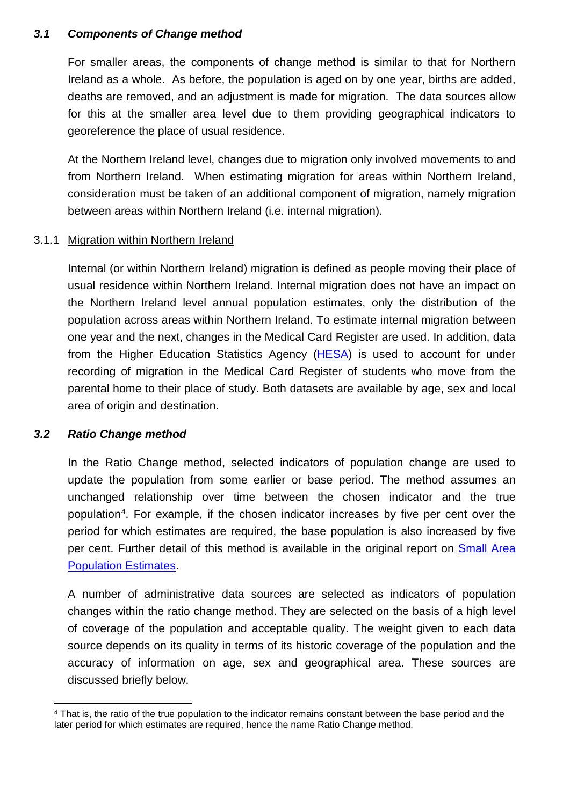#### <span id="page-4-0"></span>*3.1 Components of Change method*

For smaller areas, the components of change method is similar to that for Northern Ireland as a whole. As before, the population is aged on by one year, births are added, deaths are removed, and an adjustment is made for migration. The data sources allow for this at the smaller area level due to them providing geographical indicators to georeference the place of usual residence.

At the Northern Ireland level, changes due to migration only involved movements to and from Northern Ireland. When estimating migration for areas within Northern Ireland, consideration must be taken of an additional component of migration, namely migration between areas within Northern Ireland (i.e. internal migration).

## <span id="page-4-1"></span>3.1.1 Migration within Northern Ireland

Internal (or within Northern Ireland) migration is defined as people moving their place of usual residence within Northern Ireland. Internal migration does not have an impact on the Northern Ireland level annual population estimates, only the distribution of the population across areas within Northern Ireland. To estimate internal migration between one year and the next, changes in the Medical Card Register are used. In addition, data from the Higher Education Statistics Agency [\(HESA\)](https://www.hesa.ac.uk/) is used to account for under recording of migration in the Medical Card Register of students who move from the parental home to their place of study. Both datasets are available by age, sex and local area of origin and destination.

## <span id="page-4-2"></span>*3.2 Ratio Change method*

In the Ratio Change method, selected indicators of population change are used to update the population from some earlier or base period. The method assumes an unchanged relationship over time between the chosen indicator and the true population[4](#page-4-3). For example, if the chosen indicator increases by five per cent over the period for which estimates are required, the base population is also increased by five per cent. Further detail of this method is available in the original report on Small Area [Population Estimates.](http://nisra-drupal.nigov.net/sites/nisra.gov.uk/files/publications/SAPEdocFinal.pdf)

A number of administrative data sources are selected as indicators of population changes within the ratio change method. They are selected on the basis of a high level of coverage of the population and acceptable quality. The weight given to each data source depends on its quality in terms of its historic coverage of the population and the accuracy of information on age, sex and geographical area. These sources are discussed briefly below.

<span id="page-4-3"></span> <sup>4</sup> That is, the ratio of the true population to the indicator remains constant between the base period and the later period for which estimates are required, hence the name Ratio Change method.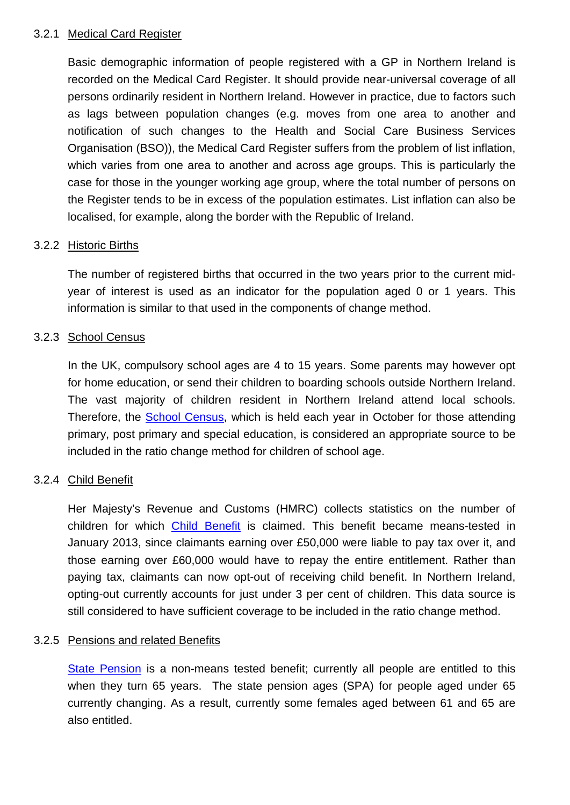#### <span id="page-5-0"></span>3.2.1 Medical Card Register

Basic demographic information of people registered with a GP in Northern Ireland is recorded on the Medical Card Register. It should provide near-universal coverage of all persons ordinarily resident in Northern Ireland. However in practice, due to factors such as lags between population changes (e.g. moves from one area to another and notification of such changes to the Health and Social Care Business Services Organisation (BSO)), the Medical Card Register suffers from the problem of list inflation, which varies from one area to another and across age groups. This is particularly the case for those in the younger working age group, where the total number of persons on the Register tends to be in excess of the population estimates. List inflation can also be localised, for example, along the border with the Republic of Ireland.

#### <span id="page-5-1"></span>3.2.2 Historic Births

The number of registered births that occurred in the two years prior to the current midyear of interest is used as an indicator for the population aged 0 or 1 years. This information is similar to that used in the components of change method.

#### <span id="page-5-2"></span>3.2.3 School Census

In the UK, compulsory school ages are 4 to 15 years. Some parents may however opt for home education, or send their children to boarding schools outside Northern Ireland. The vast majority of children resident in Northern Ireland attend local schools. Therefore, the [School Census,](https://www.education-ni.gov.uk/topics/statistics-and-research/school-enrolments) which is held each year in October for those attending primary, post primary and special education, is considered an appropriate source to be included in the ratio change method for children of school age.

#### <span id="page-5-3"></span>3.2.4 Child Benefit

Her Majesty's Revenue and Customs (HMRC) collects statistics on the number of children for which [Child Benefit](https://www.gov.uk/government/uploads/system/uploads/attachment_data/file/503347/Child_Benefit_Geographical_Statistics_August_2015.pdf) is claimed. This benefit became means-tested in January 2013, since claimants earning over £50,000 were liable to pay tax over it, and those earning over £60,000 would have to repay the entire entitlement. Rather than paying tax, claimants can now opt-out of receiving child benefit. In Northern Ireland, opting-out currently accounts for just under 3 per cent of children. This data source is still considered to have sufficient coverage to be included in the ratio change method.

#### <span id="page-5-4"></span>3.2.5 Pensions and related Benefits

[State Pension](https://www.communities-ni.gov.uk/articles/pension-information) is a non-means tested benefit; currently all people are entitled to this when they turn 65 years. The state pension ages (SPA) for people aged under 65 currently changing. As a result, currently some females aged between 61 and 65 are also entitled.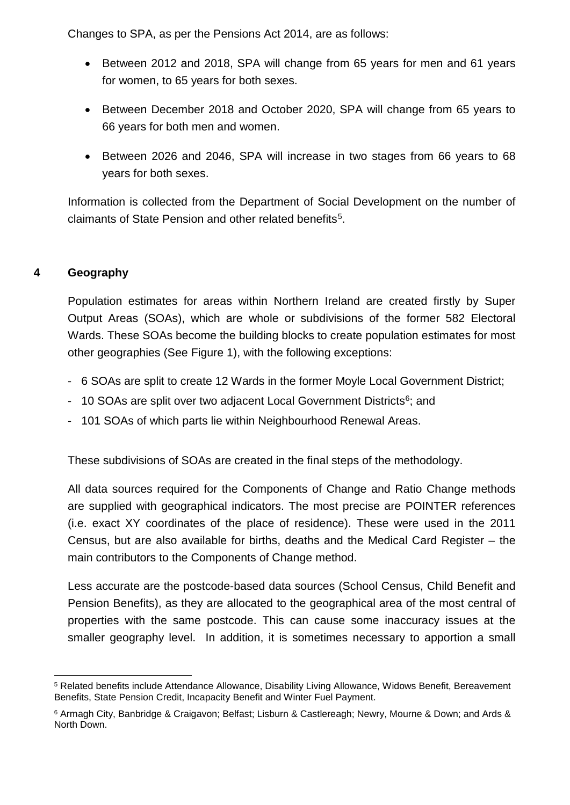Changes to SPA, as per the Pensions Act 2014, are as follows:

- Between 2012 and 2018, SPA will change from 65 years for men and 61 years for women, to 65 years for both sexes.
- Between December 2018 and October 2020, SPA will change from 65 years to 66 years for both men and women.
- Between 2026 and 2046, SPA will increase in two stages from 66 years to 68 years for both sexes.

Information is collected from the Department of Social Development on the number of claimants of State Pension and other related benefits<sup>[5](#page-6-1)</sup>.

# <span id="page-6-0"></span>**4 Geography**

Population estimates for areas within Northern Ireland are created firstly by Super Output Areas (SOAs), which are whole or subdivisions of the former 582 Electoral Wards. These SOAs become the building blocks to create population estimates for most other geographies (See Figure 1), with the following exceptions:

- 6 SOAs are split to create 12 Wards in the former Moyle Local Government District;
- 10 SOAs are split over two adjacent Local Government Districts $6$ ; and
- 101 SOAs of which parts lie within Neighbourhood Renewal Areas.

These subdivisions of SOAs are created in the final steps of the methodology.

All data sources required for the Components of Change and Ratio Change methods are supplied with geographical indicators. The most precise are POINTER references (i.e. exact XY coordinates of the place of residence). These were used in the 2011 Census, but are also available for births, deaths and the Medical Card Register – the main contributors to the Components of Change method.

Less accurate are the postcode-based data sources (School Census, Child Benefit and Pension Benefits), as they are allocated to the geographical area of the most central of properties with the same postcode. This can cause some inaccuracy issues at the smaller geography level. In addition, it is sometimes necessary to apportion a small

<span id="page-6-1"></span> <sup>5</sup> Related benefits include Attendance Allowance, Disability Living Allowance, Widows Benefit, Bereavement Benefits, State Pension Credit, Incapacity Benefit and Winter Fuel Payment.

<span id="page-6-2"></span><sup>6</sup> Armagh City, Banbridge & Craigavon; Belfast; Lisburn & Castlereagh; Newry, Mourne & Down; and Ards & North Down.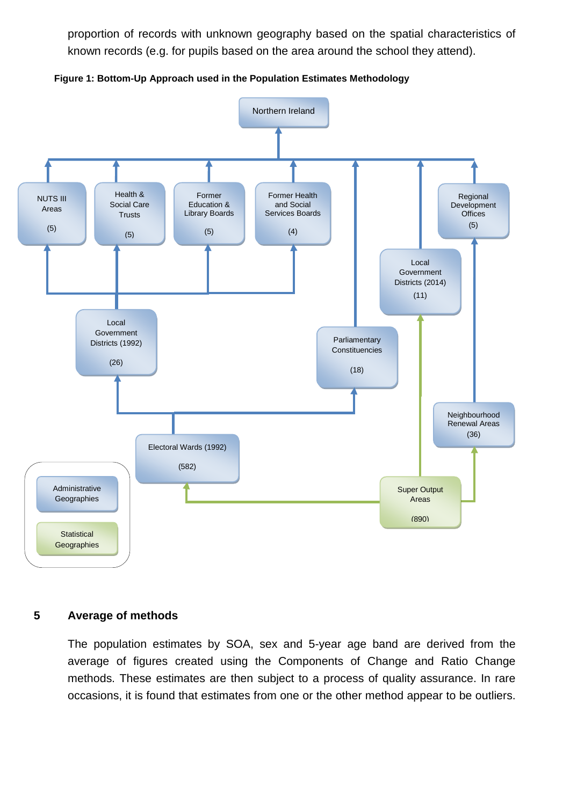proportion of records with unknown geography based on the spatial characteristics of known records (e.g. for pupils based on the area around the school they attend).





#### <span id="page-7-0"></span>**5 Average of methods**

The population estimates by SOA, sex and 5-year age band are derived from the average of figures created using the Components of Change and Ratio Change methods. These estimates are then subject to a process of quality assurance. In rare occasions, it is found that estimates from one or the other method appear to be outliers.